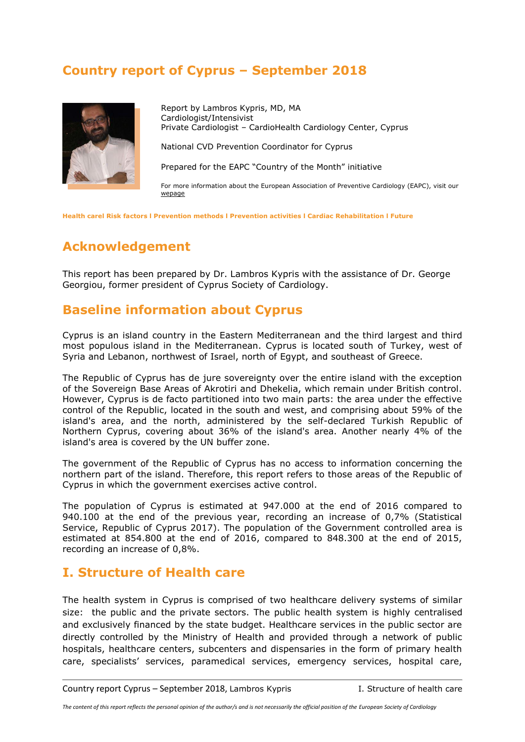## **Country report of Cyprus – September 2018**



Report by Lambros Kypris, MD, MA Cardiologist/Intensivist Private Cardiologist – CardioHealth Cardiology Center, Cyprus

National CVD Prevention Coordinator for Cyprus

Prepared for the EAPC "Country of the Month" initiative

For more information about the European Association of Preventive Cardiology (EAPC), visit our [wepage](http://www.escardio.org/EAPC)

**[Health carel](#page-0-0) [Risk factors](#page-3-0) l [Prevention methods](#page-7-0) l [Prevention activities](#page-9-0) l [Cardiac Rehabilitation](#page-11-0) l [Future](#page-12-0)**

# **Acknowledgement**

This report has been prepared by Dr. Lambros Kypris with the assistance of Dr. George Georgiou, former president of Cyprus Society of Cardiology.

## **Baseline information about Cyprus**

Cyprus is an island country in the Eastern Mediterranean and the third largest and third most populous island in the Mediterranean. Cyprus is located south of Turkey, west of Syria and Lebanon, northwest of Israel, north of Egypt, and southeast of Greece.

The Republic of Cyprus has de jure sovereignty over the entire island with the exception of the Sovereign Base Areas of Akrotiri and Dhekelia, which remain under British control. However, Cyprus is de facto partitioned into two main parts: the area under the effective control of the Republic, located in the south and west, and comprising about 59% of the island's area, and the north, administered by the self-declared Turkish Republic of Northern Cyprus, covering about 36% of the island's area. Another nearly 4% of the island's area is covered by the UN buffer zone.

The government of the Republic of Cyprus has no access to information concerning the northern part of the island. Therefore, this report refers to those areas of the Republic of Cyprus in which the government exercises active control.

The population of Cyprus is estimated at 947.000 at the end of 2016 compared to 940.100 at the end of the previous year, recording an increase of 0,7% (Statistical Service, Republic of Cyprus 2017). The population of the Government controlled area is estimated at 854.800 at the end of 2016, compared to 848.300 at the end of 2015, recording an increase of 0,8%.

## <span id="page-0-0"></span>**I. Structure of Health care**

The health system in Cyprus is comprised of two healthcare delivery systems of similar size: the public and the private sectors. The public health system is highly centralised and exclusively financed by the state budget. Healthcare services in the public sector are directly controlled by the Ministry of Health and provided through a network of public hospitals, healthcare centers, subcenters and dispensaries in the form of primary health care, specialists' services, paramedical services, emergency services, hospital care,

Country report Cyprus – September 2018, Lambros Kypris I. Structure of health care

*The content of this report reflects the personal opinion of the author/s and is not necessarily the official position of the European Society of Cardiology*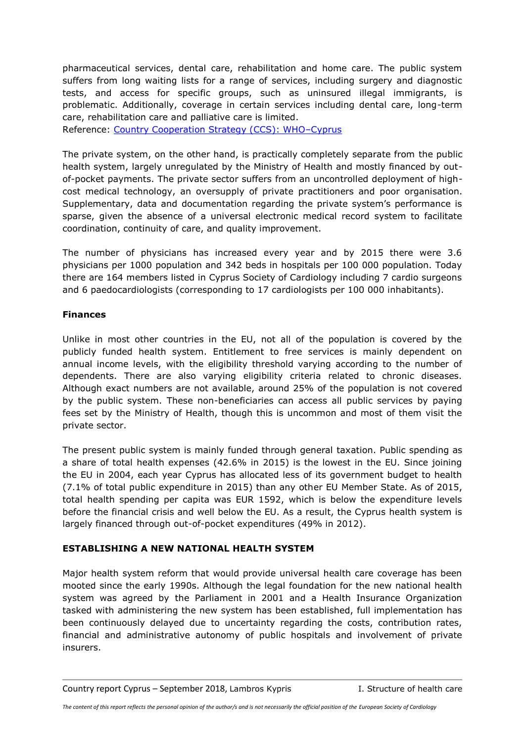pharmaceutical services, dental care, rehabilitation and home care. The public system suffers from long waiting lists for a range of services, including surgery and diagnostic tests, and access for specific groups, such as uninsured illegal immigrants, is problematic. Additionally, coverage in certain services including dental care, long-term care, rehabilitation care and palliative care is limited.

Reference: [Country Cooperation Strategy \(CCS\): WHO](http://apps.who.int/iris/handle/10665/180616)–Cyprus

The private system, on the other hand, is practically completely separate from the public health system, largely unregulated by the Ministry of Health and mostly financed by outof-pocket payments. The private sector suffers from an uncontrolled deployment of highcost medical technology, an oversupply of private practitioners and poor organisation. Supplementary, data and documentation regarding the private system's performance is sparse, given the absence of a universal electronic medical record system to facilitate coordination, continuity of care, and quality improvement.

The number of physicians has increased every year and by 2015 there were 3.6 physicians per 1000 population and 342 beds in hospitals per 100 000 population. Today there are 164 members listed in Cyprus Society of Cardiology including 7 cardio surgeons and 6 paedocardiologists (corresponding to 17 cardiologists per 100 000 inhabitants).

## **Finances**

Unlike in most other countries in the EU, not all of the population is covered by the publicly funded health system. Entitlement to free services is mainly dependent on annual income levels, with the eligibility threshold varying according to the number of dependents. There are also varying eligibility criteria related to chronic diseases. Although exact numbers are not available, around 25% of the population is not covered by the public system. These non-beneficiaries can access all public services by paying fees set by the Ministry of Health, though this is uncommon and most of them visit the private sector.

The present public system is mainly funded through general taxation. Public spending as a share of total health expenses (42.6% in 2015) is the lowest in the EU. Since joining the EU in 2004, each year Cyprus has allocated less of its government budget to health (7.1% of total public expenditure in 2015) than any other EU Member State. As of 2015, total health spending per capita was EUR 1592, which is below the expenditure levels before the financial crisis and well below the EU. As a result, the Cyprus health system is largely financed through out-of-pocket expenditures (49% in 2012).

## **ESTABLISHING A NEW NATIONAL HEALTH SYSTEM**

Major health system reform that would provide universal health care coverage has been mooted since the early 1990s. Although the legal foundation for the new national health system was agreed by the Parliament in 2001 and a Health Insurance Organization tasked with administering the new system has been established, full implementation has been continuously delayed due to uncertainty regarding the costs, contribution rates, financial and administrative autonomy of public hospitals and involvement of private insurers.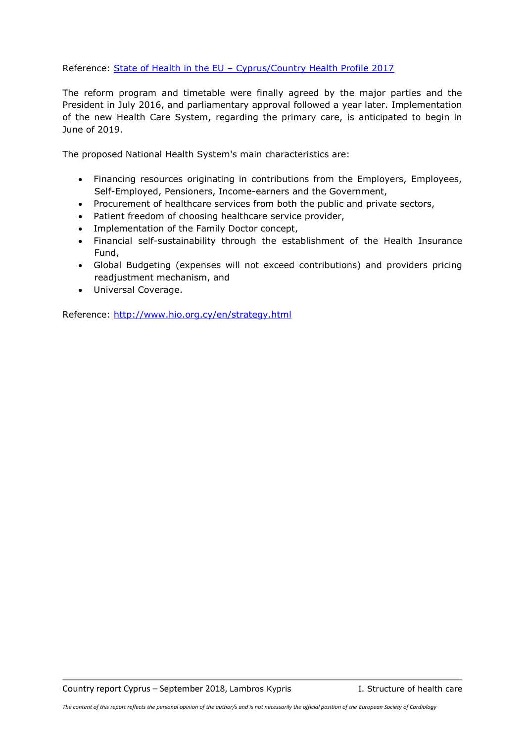Reference: State of Health in the EU - [Cyprus/Country Health Profile 2017](http://www.oecd.org/countries/cyprus/cyprus-country-health-profile-2017-9789264283329-en.htm)

The reform program and timetable were finally agreed by the major parties and the President in July 2016, and parliamentary approval followed a year later. Implementation of the new Health Care System, regarding the primary care, is anticipated to begin in June of 2019.

The proposed National Health System's main characteristics are:

- Financing resources originating in contributions from the Employers, Employees, Self-Employed, Pensioners, Income-earners and the Government,
- Procurement of healthcare services from both the public and private sectors,
- Patient freedom of choosing healthcare service provider,
- Implementation of the Family Doctor concept,
- Financial self-sustainability through the establishment of the Health Insurance Fund,
- Global Budgeting (expenses will not exceed contributions) and providers pricing readjustment mechanism, and
- Universal Coverage.

Reference:<http://www.hio.org.cy/en/strategy.html>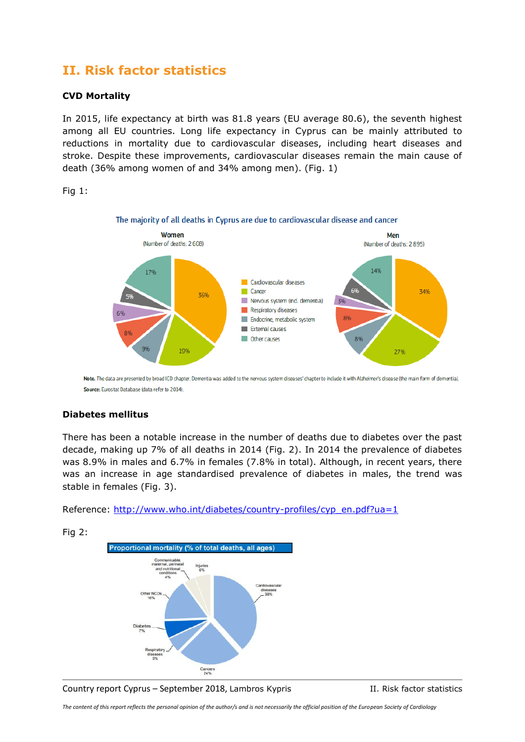## <span id="page-3-0"></span>**II. Risk factor statistics**

#### **CVD Mortality**

In 2015, life expectancy at birth was 81.8 years (EU average 80.6), the seventh highest among all EU countries. Long life expectancy in Cyprus can be mainly attributed to reductions in mortality due to cardiovascular diseases, including heart diseases and stroke. Despite these improvements, cardiovascular diseases remain the main cause of death (36% among women of and 34% among men). (Fig. 1)

Fig 1:



Note. The data are presented by broad ICD chapter. Dementia was added to the nervous system diseases' chapter to include it with Alzheimer's disease (the main form of dementia). Source: Eurostat Database (data refer to 2014).

## **Diabetes mellitus**

There has been a notable increase in the number of deaths due to diabetes over the past decade, making up 7% of all deaths in 2014 (Fig. 2). In 2014 the prevalence of diabetes was 8.9% in males and 6.7% in females (7.8% in total). Although, in recent years, there was an increase in age standardised prevalence of diabetes in males, the trend was stable in females (Fig. 3).

Reference: [http://www.who.int/diabetes/country-profiles/cyp\\_en.pdf?ua=1](http://www.who.int/diabetes/country-profiles/cyp_en.pdf?ua=1)



Fig 2:



*The content of this report reflects the personal opinion of the author/s and is not necessarily the official position of the European Society of Cardiology*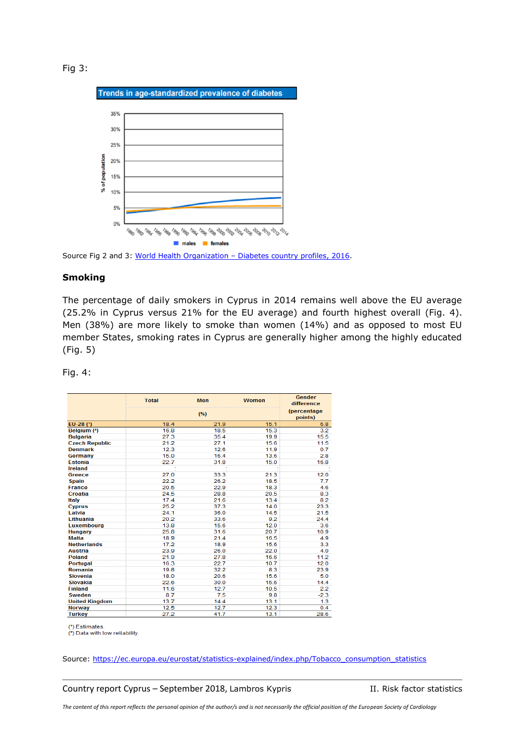Fig 3:



Source Fig 2 and 3: World Health Organization – [Diabetes country profiles, 2016.](http://www.who.int/diabetes/country-profiles/cyp_en.pdf?ua=1)

#### **Smoking**

The percentage of daily smokers in Cyprus in 2014 remains well above the EU average (25.2% in Cyprus versus 21% for the EU average) and fourth highest overall (Fig. 4). Men (38%) are more likely to smoke than women (14%) and as opposed to most EU member States, smoking rates in Cyprus are generally higher among the highly educated (Fig. 5)

|                       | <b>Total</b> | <b>Men</b> | <b>Women</b>                   | Gender<br>difference |
|-----------------------|--------------|------------|--------------------------------|----------------------|
|                       | (%)          |            | <i>(percentage)</i><br>points) |                      |
| EU-28 (*)             | 18.4         | 21.9       | 15.1                           | 6.8                  |
| Belgium (2)           | 16.8         | 18.5       | 15.3                           | 3.2                  |
| <b>Bulgaria</b>       | 27.3         | 35.4       | 19.9                           | 15.5                 |
| <b>Czech Republic</b> | 21.2         | 27.1       | 15.6                           | 11.5                 |
| <b>Denmark</b>        | 12.3         | 12.6       | 11.9                           | 0.7                  |
| Germany               | 15.0         | 16.4       | 13.6                           | 2.8                  |
| <b>Estonia</b>        | 22.7         | 31.8       | 15.0                           | 16.8                 |
| Ireland               |              |            |                                |                      |
| Greece                | 27.0         | 33.3       | 21.3                           | 12.0                 |
| <b>Spain</b>          | 22.2         | 26.2       | 18.5                           | 7.7                  |
| <b>France</b>         | 20.5         | 22.9       | 18.3                           | 4.6                  |
| Croatia               | 24.5         | 28.8       | 20.5                           | 8.3                  |
| <b>Italy</b>          | 17.4         | 21.6       | 13.4                           | 8.2                  |
| <b>Cyprus</b>         | 25.2         | 37.3       | 14.0                           | 23.3                 |
| Latvia                | 24.1         | 36.0       | 14.5                           | 21.5                 |
| Lithuania             | 20.2         | 33.6       | 9.2                            | 24.4                 |
| <b>Luxembourg</b>     | 13.8         | 15.6       | 12.0                           | 3.6                  |
| Hungary               | 25.8         | 31.6       | 20.7                           | 10.9                 |
| <b>Malta</b>          | 18.9         | 21.4       | 16.5                           | 4.9                  |
| <b>Netherlands</b>    | 17.2         | 18.9       | 15.6                           | 3.3                  |
| Austria               | 23.9         | 26.0       | 22.0                           | 4.0                  |
| <b>Poland</b>         | 21.9         | 27.8       | 16.6                           | 11.2                 |
| <b>Portugal</b>       | 16.3         | 22.7       | 10.7                           | 12.0                 |
| <b>Romania</b>        | 19.8         | 32.2       | 8.3                            | 23.9                 |
| <b>Slovenia</b>       | 18.0         | 20.6       | 15.6                           | 5.0                  |
| Slovakia              | 22.6         | 30.0       | 15.6                           | 14.4                 |
| <b>Finland</b>        | 11.6         | 12.7       | 10.5                           | 2.2                  |
| <b>Sweden</b>         | 8.7          | 7.5        | 9.8                            | $-2.3$               |
| <b>United Kingdom</b> | 13.7         | 14.4       | 13.1                           | 1.3                  |
| <b>Norway</b>         | 12.5         | 12.7       | 12.3                           | 0.4                  |
| <b>Turkey</b>         | 27.2         | 41.7       | 13.1                           | 28.6                 |

Fig. 4:

(\*) Estimates

(2) Data with low reliability.

Source: [https://ec.europa.eu/eurostat/statistics-explained/index.php/Tobacco\\_consumption\\_statistics](https://ec.europa.eu/eurostat/statistics-explained/index.php/Tobacco_consumption_statistics)

Country report Cyprus – September 2018, Lambros Kypris II. Risk factor statistics

*The content of this report reflects the personal opinion of the author/s and is not necessarily the official position of the European Society of Cardiology*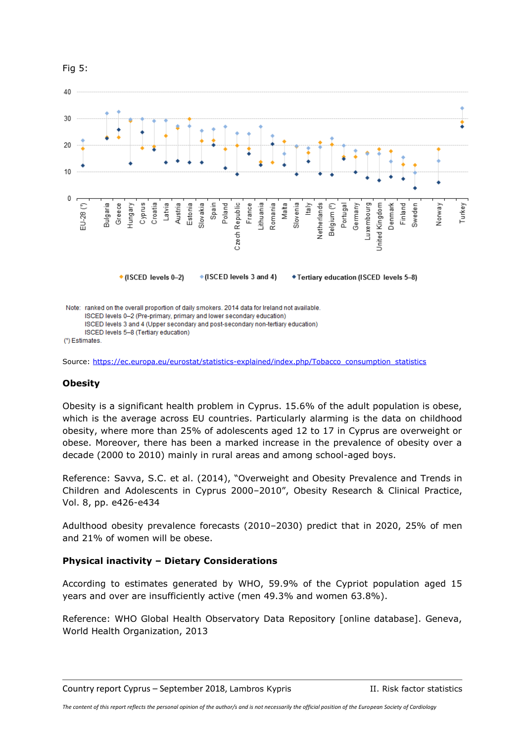

Source: [https://ec.europa.eu/eurostat/statistics-explained/index.php/Tobacco\\_consumption\\_statistics](https://ec.europa.eu/eurostat/statistics-explained/index.php/Tobacco_consumption_statistics)

#### **Obesity**

Obesity is a significant health problem in Cyprus. 15.6% of the adult population is obese, which is the average across EU countries. Particularly alarming is the data on childhood obesity, where more than 25% of adolescents aged 12 to 17 in Cyprus are overweight or obese. Moreover, there has been a marked increase in the prevalence of obesity over a decade (2000 to 2010) mainly in rural areas and among school-aged boys.

Reference: Savva, S.C. et al. (2014), "Overweight and Obesity Prevalence and Trends in Children and Adolescents in Cyprus 2000–2010", Obesity Research & Clinical Practice, Vol. 8, pp. e426-e434

Adulthood obesity prevalence forecasts (2010–2030) predict that in 2020, 25% of men and 21% of women will be obese.

#### **Physical inactivity – Dietary Considerations**

According to estimates generated by WHO, 59.9% of the Cypriot population aged 15 years and over are insufficiently active (men 49.3% and women 63.8%).

Reference: WHO Global Health Observatory Data Repository [online database]. Geneva, World Health Organization, 2013

#### Fig 5: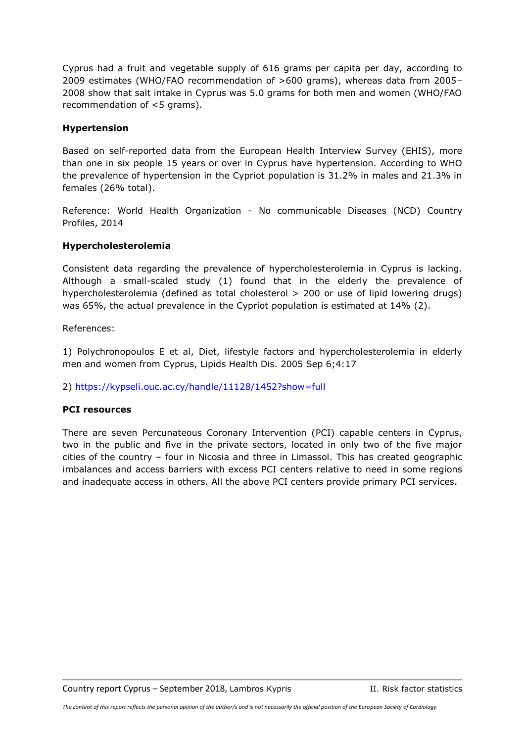Cyprus had a fruit and vegetable supply of 616 grams per capita per day, according to 2009 estimates (WHO/FAO recommendation of >600 grams), whereas data from 2005– 2008 show that salt intake in Cyprus was 5.0 grams for both men and women (WHO/FAO recommendation of <5 grams).

### **Hypertension**

Based on self-reported data from the European Health Interview Survey (EHIS), more than one in six people 15 years or over in Cyprus have hypertension. According to WHO the prevalence of hypertension in the Cypriot population is 31.2% in males and 21.3% in females (26% total).

Reference: World Health Organization - No communicable Diseases (NCD) Country Profiles, 2014

#### **Hypercholesterolemia**

Consistent data regarding the prevalence of hypercholesterolemia in Cyprus is lacking. Although a small-scaled study (1) found that in the elderly the prevalence of hypercholesterolemia (defined as total cholesterol > 200 or use of lipid lowering drugs) was 65%, the actual prevalence in the Cypriot population is estimated at 14% (2).

References:

1) Polychronopoulos E et al, Diet, lifestyle factors and hypercholesterolemia in elderly men and women from Cyprus, Lipids Health Dis. 2005 Sep 6;4:17

2)<https://kypseli.ouc.ac.cy/handle/11128/1452?show=full>

#### **PCI resources**

There are seven Percunateous Coronary Intervention (PCI) capable centers in Cyprus, two in the public and five in the private sectors, located in only two of the five major cities of the country – four in Nicosia and three in Limassol. This has created geographic imbalances and access barriers with excess PCI centers relative to need in some regions and inadequate access in others. All the above PCI centers provide primary PCI services.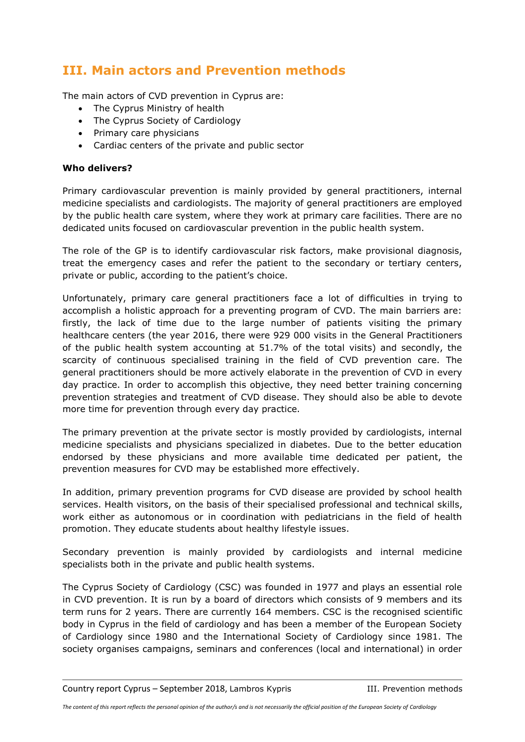# **III. Main actors and Prevention methods**

The main actors of CVD prevention in Cyprus are:

- <span id="page-7-0"></span>• The Cyprus Ministry of health
- The Cyprus Society of Cardiology
- Primary care physicians
- Cardiac centers of the private and public sector

### **Who delivers?**

Primary cardiovascular prevention is mainly provided by general practitioners, internal medicine specialists and cardiologists. The majority of general practitioners are employed by the public health care system, where they work at primary care facilities. There are no dedicated units focused on cardiovascular prevention in the public health system.

The role of the GP is to identify cardiovascular risk factors, make provisional diagnosis, treat the emergency cases and refer the patient to the secondary or tertiary centers, private or public, according to the patient's choice.

Unfortunately, primary care general practitioners face a lot of difficulties in trying to accomplish a holistic approach for a preventing program of CVD. The main barriers are: firstly, the lack of time due to the large number of patients visiting the primary healthcare centers (the year 2016, there were 929 000 visits in the General Practitioners of the public health system accounting at 51.7% of the total visits) and secondly, the scarcity of continuous specialised training in the field of CVD prevention care. The general practitioners should be more actively elaborate in the prevention of CVD in every day practice. In order to accomplish this objective, they need better training concerning prevention strategies and treatment of CVD disease. They should also be able to devote more time for prevention through every day practice.

The primary prevention at the private sector is mostly provided by cardiologists, internal medicine specialists and physicians specialized in diabetes. Due to the better education endorsed by these physicians and more available time dedicated per patient, the prevention measures for CVD may be established more effectively.

In addition, primary prevention programs for CVD disease are provided by school health services. Health visitors, on the basis of their specialised professional and technical skills, work either as autonomous or in coordination with pediatricians in the field of health promotion. They educate students about healthy lifestyle issues.

Secondary prevention is mainly provided by cardiologists and internal medicine specialists both in the private and public health systems.

The Cyprus Society of Cardiology (CSC) was founded in 1977 and plays an essential role in CVD prevention. It is run by a board of directors which consists of 9 members and its term runs for 2 years. There are currently 164 members. CSC is the recognised scientific body in Cyprus in the field of cardiology and has been a member of the European Society of Cardiology since 1980 and the International Society of Cardiology since 1981. The society organises campaigns, seminars and conferences (local and international) in order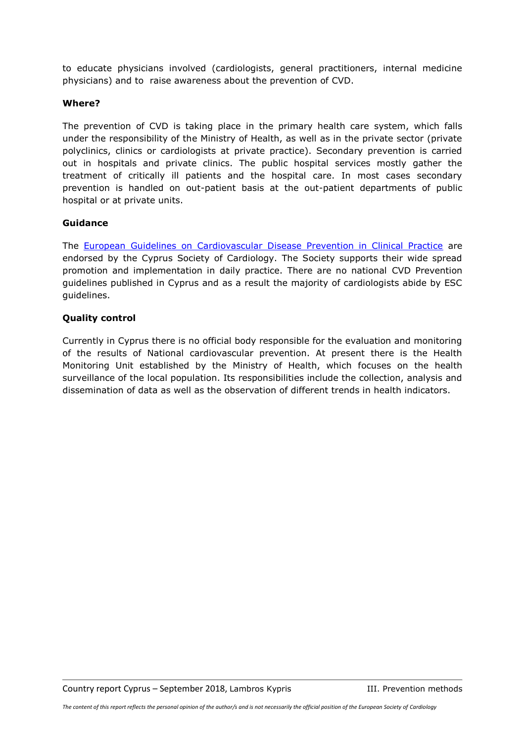to educate physicians involved (cardiologists, general practitioners, internal medicine physicians) and to raise awareness about the prevention of CVD.

#### **Where?**

The prevention of CVD is taking place in the primary health care system, which falls under the responsibility of the Ministry of Health, as well as in the private sector (private polyclinics, clinics or cardiologists at private practice). Secondary prevention is carried out in hospitals and private clinics. The public hospital services mostly gather the treatment of critically ill patients and the hospital care. In most cases secondary prevention is handled on out-patient basis at the out-patient departments of public hospital or at private units.

## **Guidance**

The [European Guidelines on Cardiovascular Disease Prevention in Clinical Practice](https://www.escardio.org/Guidelines/Clinical-Practice-Guidelines/CVD-Prevention-in-clinical-practice-European-Guidelines-on) are endorsed by the Cyprus Society of Cardiology. The Society supports their wide spread promotion and implementation in daily practice. There are no national CVD Prevention guidelines published in Cyprus and as a result the majority of cardiologists abide by ESC guidelines.

## **Quality control**

Currently in Cyprus there is no official body responsible for the evaluation and monitoring of the results of National cardiovascular prevention. At present there is the Health Monitoring Unit established by the Ministry of Health, which focuses on the health surveillance of the local population. Its responsibilities include the collection, analysis and dissemination of data as well as the observation of different trends in health indicators.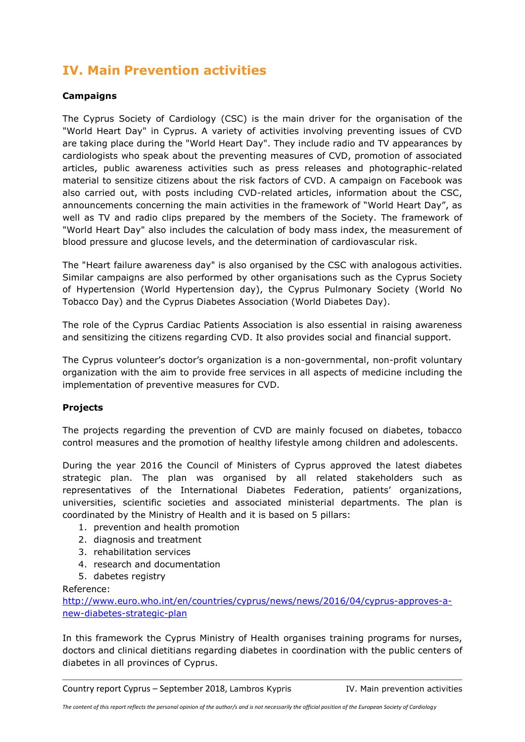# <span id="page-9-0"></span>**IV. Main Prevention activities**

## **Campaigns**

The Cyprus Society of Cardiology (CSC) is the main driver for the organisation of the "World Heart Day" in Cyprus. A variety of activities involving preventing issues of CVD are taking place during the "World Heart Day". They include radio and TV appearances by cardiologists who speak about the preventing measures of CVD, promotion of associated articles, public awareness activities such as press releases and photographic-related material to sensitize citizens about the risk factors of CVD. A campaign on Facebook was also carried out, with posts including CVD-related articles, information about the CSC, announcements concerning the main activities in the framework of "World Heart Day", as well as TV and radio clips prepared by the members of the Society. The framework of "World Heart Day" also includes the calculation of body mass index, the measurement of blood pressure and glucose levels, and the determination of cardiovascular risk.

The "Heart failure awareness day" is also organised by the CSC with analogous activities. Similar campaigns are also performed by other organisations such as the Cyprus Society of Hypertension (World Hypertension day), the Cyprus Pulmonary Society (World No Tobacco Day) and the Cyprus Diabetes Association (World Diabetes Day).

The role of the Cyprus Cardiac Patients Association is also essential in raising awareness and sensitizing the citizens regarding CVD. It also provides social and financial support.

The Cyprus volunteer's doctor's organization is a non-governmental, non-profit voluntary organization with the aim to provide free services in all aspects of medicine including the implementation of preventive measures for CVD.

## **Projects**

The projects regarding the prevention of CVD are mainly focused on diabetes, tobacco control measures and the promotion of healthy lifestyle among children and adolescents.

During the year 2016 the Council of Ministers of Cyprus approved the latest diabetes strategic plan. The plan was organised by all related stakeholders such as representatives of the International Diabetes Federation, patients' organizations, universities, scientific societies and associated ministerial departments. The plan is coordinated by the Ministry of Health and it is based on 5 pillars:

- 1. prevention and health promotion
- 2. diagnosis and treatment
- 3. rehabilitation services
- 4. research and documentation
- 5. dabetes registry

Reference:

[http://www.euro.who.int/en/countries/cyprus/news/news/2016/04/cyprus-approves-a](http://www.euro.who.int/en/countries/cyprus/news/news/2016/04/cyprus-approves-a-new-diabetes-strategic-plan)[new-diabetes-strategic-plan](http://www.euro.who.int/en/countries/cyprus/news/news/2016/04/cyprus-approves-a-new-diabetes-strategic-plan)

In this framework the Cyprus Ministry of Health organises training programs for nurses, doctors and clinical dietitians regarding diabetes in coordination with the public centers of diabetes in all provinces of Cyprus.

Country report Cyprus – September 2018, Lambros Kypris IV. Main prevention activities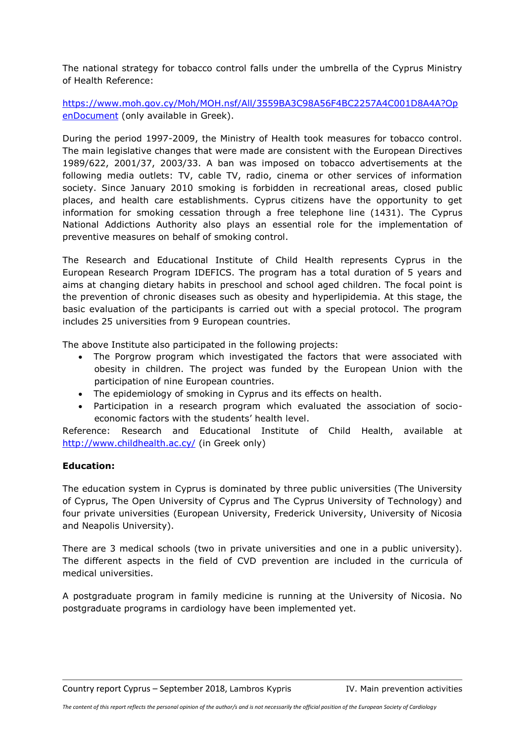The national strategy for tobacco control falls under the umbrella of the Cyprus Ministry of Health Reference:

[https://www.moh.gov.cy/Moh/MOH.nsf/All/3559BA3C98A56F4BC2257A4C001D8A4A?Op](https://www.moh.gov.cy/Moh/MOH.nsf/All/3559BA3C98A56F4BC2257A4C001D8A4A?OpenDocument) [enDocument](https://www.moh.gov.cy/Moh/MOH.nsf/All/3559BA3C98A56F4BC2257A4C001D8A4A?OpenDocument) (only available in Greek).

During the period 1997-2009, the Ministry of Health took measures for tobacco control. The main legislative changes that were made are consistent with the European Directives 1989/622, 2001/37, 2003/33. A ban was imposed on tobacco advertisements at the following media outlets: TV, cable TV, radio, cinema or other services of information society. Since January 2010 smoking is forbidden in recreational areas, closed public places, and health care establishments. Cyprus citizens have the opportunity to get information for smoking cessation through a free telephone line (1431). The Cyprus National Addictions Authority also plays an essential role for the implementation of preventive measures on behalf of smoking control.

The Research and Educational Institute of Child Health represents Cyprus in the European Research Program IDEFICS. The program has a total duration of 5 years and aims at changing dietary habits in preschool and school aged children. The focal point is the prevention of chronic diseases such as obesity and hyperlipidemia. At this stage, the basic evaluation of the participants is carried out with a special protocol. The program includes 25 universities from 9 European countries.

The above Institute also participated in the following projects:

- The Porgrow program which investigated the factors that were associated with obesity in children. The project was funded by the European Union with the participation of nine European countries.
- The epidemiology of smoking in Cyprus and its effects on health.
- Participation in a research program which evaluated the association of socioeconomic factors with the students' health level.

Reference: Research and Educational Institute of Child Health, available at <http://www.childhealth.ac.cy/> (in Greek only)

## **Education:**

The education system in Cyprus is dominated by three public universities (The University of Cyprus, The Open University of Cyprus and The Cyprus University of Technology) and four private universities (European University, Frederick University, University of Nicosia and Neapolis University).

There are 3 medical schools (two in private universities and one in a public university). The different aspects in the field of CVD prevention are included in the curricula of medical universities.

A postgraduate program in family medicine is running at the University of Nicosia. No postgraduate programs in cardiology have been implemented yet.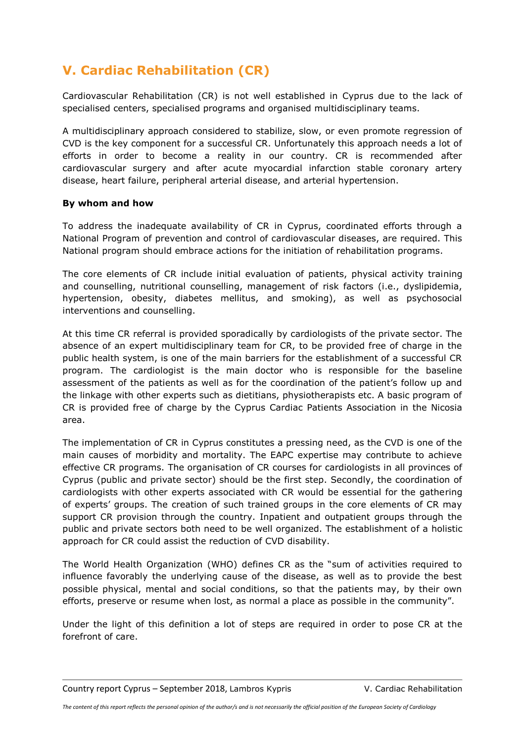# <span id="page-11-0"></span>**V. Cardiac Rehabilitation (CR)**

Cardiovascular Rehabilitation (CR) is not well established in Cyprus due to the lack of specialised centers, specialised programs and organised multidisciplinary teams.

A multidisciplinary approach considered to stabilize, slow, or even promote regression of CVD is the key component for a successful CR. Unfortunately this approach needs a lot of efforts in order to become a reality in our country. CR is recommended after cardiovascular surgery and after acute myocardial infarction stable coronary artery disease, heart failure, peripheral arterial disease, and arterial hypertension.

## **By whom and how**

To address the inadequate availability of CR in Cyprus, coordinated efforts through a National Program of prevention and control of cardiovascular diseases, are required. This National program should embrace actions for the initiation of rehabilitation programs.

The core elements of CR include initial evaluation of patients, physical activity training and counselling, nutritional counselling, management of risk factors (i.e., dyslipidemia, hypertension, obesity, diabetes mellitus, and smoking), as well as psychosocial interventions and counselling.

At this time CR referral is provided sporadically by cardiologists of the private sector. The absence of an expert multidisciplinary team for CR, to be provided free of charge in the public health system, is one of the main barriers for the establishment of a successful CR program. The cardiologist is the main doctor who is responsible for the baseline assessment of the patients as well as for the coordination of the patient's follow up and the linkage with other experts such as dietitians, physiotherapists etc. A basic program of CR is provided free of charge by the Cyprus Cardiac Patients Association in the Nicosia area.

The implementation of CR in Cyprus constitutes a pressing need, as the CVD is one of the main causes of morbidity and mortality. The EAPC expertise may contribute to achieve effective CR programs. The organisation of CR courses for cardiologists in all provinces of Cyprus (public and private sector) should be the first step. Secondly, the coordination of cardiologists with other experts associated with CR would be essential for the gathering of experts' groups. The creation of such trained groups in the core elements of CR may support CR provision through the country. Inpatient and outpatient groups through the public and private sectors both need to be well organized. The establishment of a holistic approach for CR could assist the reduction of CVD disability.

The World Health Organization (WHO) defines CR as the "sum of activities required to influence favorably the underlying cause of the disease, as well as to provide the best possible physical, mental and social conditions, so that the patients may, by their own efforts, preserve or resume when lost, as normal a place as possible in the community".

Under the light of this definition a lot of steps are required in order to pose CR at the forefront of care.